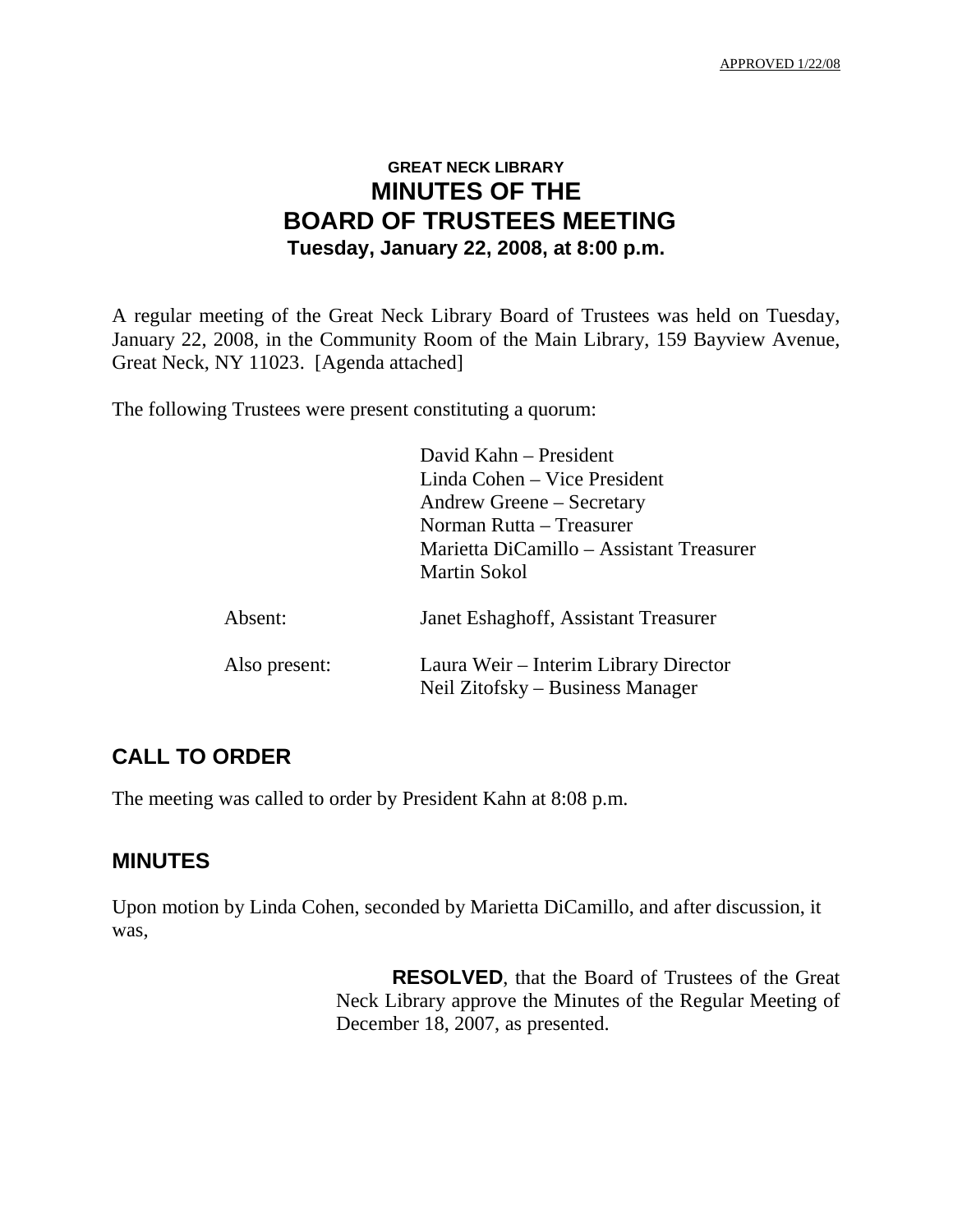## **GREAT NECK LIBRARY MINUTES OF THE BOARD OF TRUSTEES MEETING Tuesday, January 22, 2008, at 8:00 p.m.**

A regular meeting of the Great Neck Library Board of Trustees was held on Tuesday, January 22, 2008, in the Community Room of the Main Library, 159 Bayview Avenue, Great Neck, NY 11023. [Agenda attached]

The following Trustees were present constituting a quorum:

|               | David Kahn – President                                                    |
|---------------|---------------------------------------------------------------------------|
|               | Linda Cohen – Vice President                                              |
|               | Andrew Greene – Secretary                                                 |
|               | Norman Rutta – Treasurer                                                  |
|               | Marietta DiCamillo – Assistant Treasurer                                  |
|               | Martin Sokol                                                              |
| Absent:       | Janet Eshaghoff, Assistant Treasurer                                      |
| Also present: | Laura Weir – Interim Library Director<br>Neil Zitofsky – Business Manager |

## **CALL TO ORDER**

The meeting was called to order by President Kahn at 8:08 p.m.

### **MINUTES**

Upon motion by Linda Cohen, seconded by Marietta DiCamillo, and after discussion, it was,

> **RESOLVED**, that the Board of Trustees of the Great Neck Library approve the Minutes of the Regular Meeting of December 18, 2007, as presented.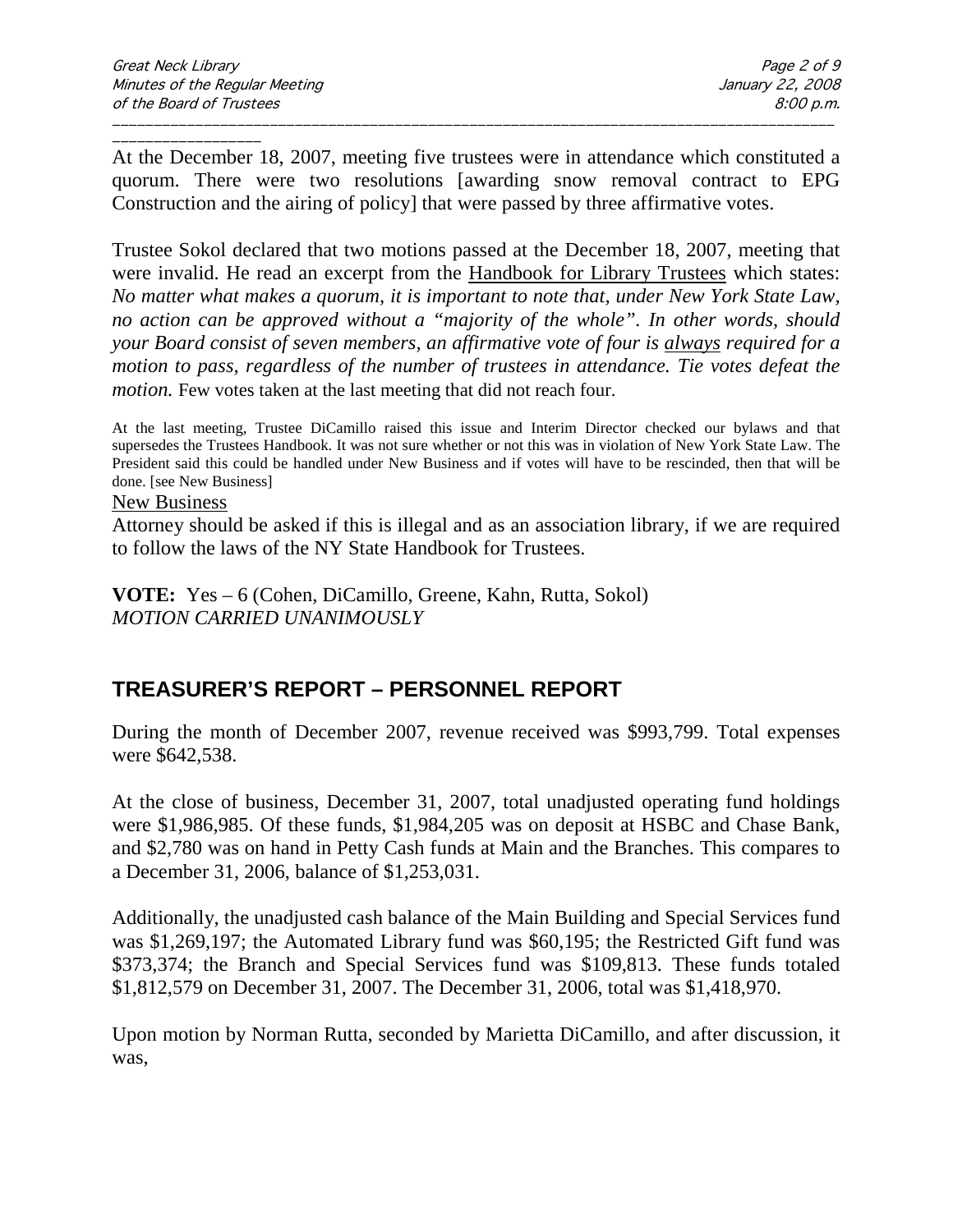\_\_\_\_\_\_\_\_\_\_\_\_\_\_\_\_\_\_ At the December 18, 2007, meeting five trustees were in attendance which constituted a quorum. There were two resolutions [awarding snow removal contract to EPG Construction and the airing of policy] that were passed by three affirmative votes.

\_\_\_\_\_\_\_\_\_\_\_\_\_\_\_\_\_\_\_\_\_\_\_\_\_\_\_\_\_\_\_\_\_\_\_\_\_\_\_\_\_\_\_\_\_\_\_\_\_\_\_\_\_\_\_\_\_\_\_\_\_\_\_\_\_\_\_\_\_\_\_\_\_\_\_\_\_\_\_\_\_\_\_\_\_\_\_

Trustee Sokol declared that two motions passed at the December 18, 2007, meeting that were invalid. He read an excerpt from the Handbook for Library Trustees which states: *No matter what makes a quorum, it is important to note that, under New York State Law, no action can be approved without a "majority of the whole". In other words, should your Board consist of seven members, an affirmative vote of four is always required for a motion to pass, regardless of the number of trustees in attendance. Tie votes defeat the motion*. Few votes taken at the last meeting that did not reach four.

At the last meeting, Trustee DiCamillo raised this issue and Interim Director checked our bylaws and that supersedes the Trustees Handbook. It was not sure whether or not this was in violation of New York State Law. The President said this could be handled under New Business and if votes will have to be rescinded, then that will be done. [see New Business]

#### New Business

Attorney should be asked if this is illegal and as an association library, if we are required to follow the laws of the NY State Handbook for Trustees.

**VOTE:** Yes – 6 (Cohen, DiCamillo, Greene, Kahn, Rutta, Sokol) *MOTION CARRIED UNANIMOUSLY*

## **TREASURER'S REPORT – PERSONNEL REPORT**

During the month of December 2007, revenue received was \$993,799. Total expenses were \$642,538.

At the close of business, December 31, 2007, total unadjusted operating fund holdings were \$1,986,985. Of these funds, \$1,984,205 was on deposit at HSBC and Chase Bank, and \$2,780 was on hand in Petty Cash funds at Main and the Branches. This compares to a December 31, 2006, balance of \$1,253,031.

Additionally, the unadjusted cash balance of the Main Building and Special Services fund was \$1,269,197; the Automated Library fund was \$60,195; the Restricted Gift fund was \$373,374; the Branch and Special Services fund was \$109,813. These funds totaled \$1,812,579 on December 31, 2007. The December 31, 2006, total was \$1,418,970.

Upon motion by Norman Rutta, seconded by Marietta DiCamillo, and after discussion, it was,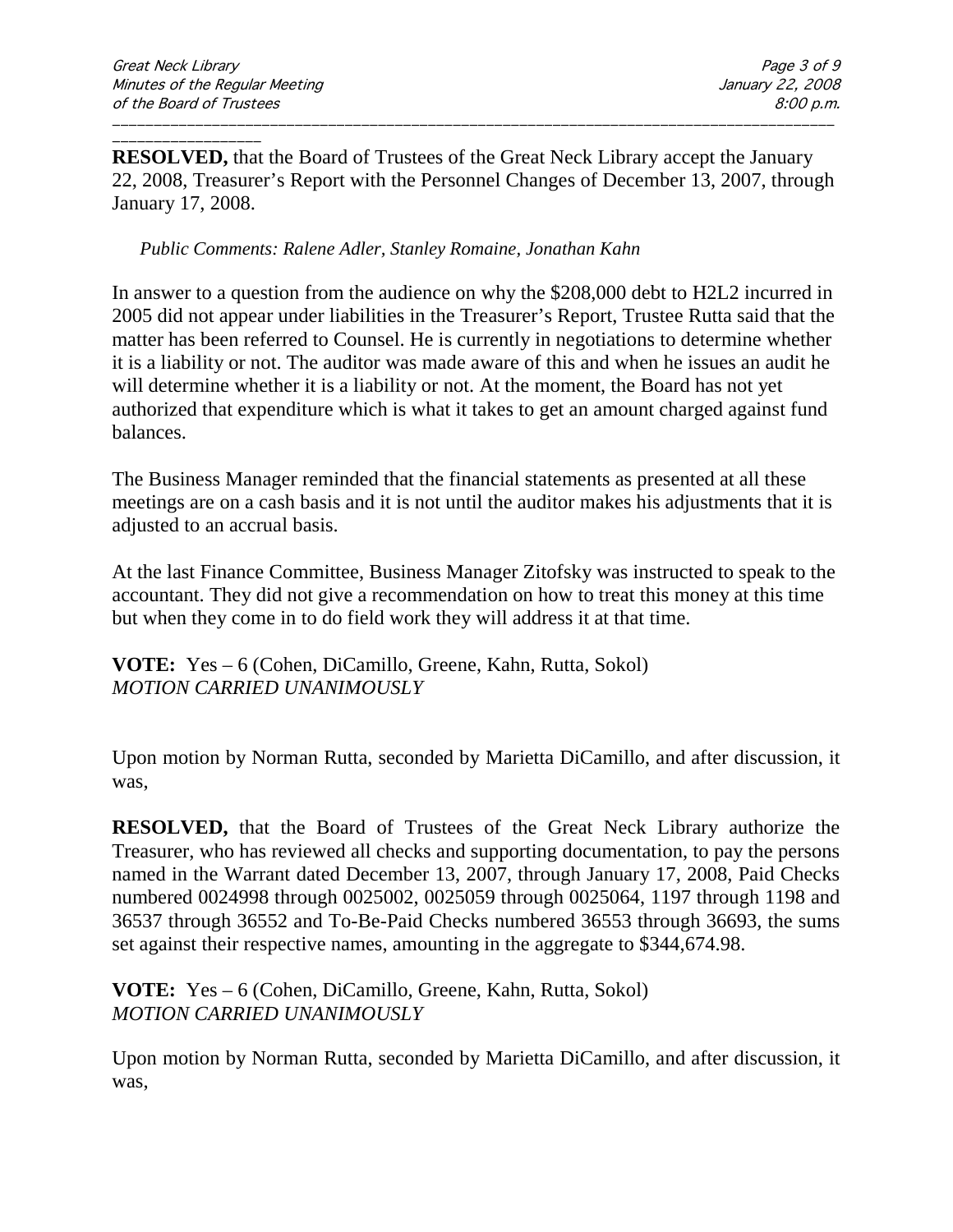\_\_\_\_\_\_\_\_\_\_\_\_\_\_\_\_\_\_ **RESOLVED,** that the Board of Trustees of the Great Neck Library accept the January 22, 2008, Treasurer's Report with the Personnel Changes of December 13, 2007, through January 17, 2008.

\_\_\_\_\_\_\_\_\_\_\_\_\_\_\_\_\_\_\_\_\_\_\_\_\_\_\_\_\_\_\_\_\_\_\_\_\_\_\_\_\_\_\_\_\_\_\_\_\_\_\_\_\_\_\_\_\_\_\_\_\_\_\_\_\_\_\_\_\_\_\_\_\_\_\_\_\_\_\_\_\_\_\_\_\_\_\_

#### *Public Comments: Ralene Adler, Stanley Romaine, Jonathan Kahn*

In answer to a question from the audience on why the \$208,000 debt to H2L2 incurred in 2005 did not appear under liabilities in the Treasurer's Report, Trustee Rutta said that the matter has been referred to Counsel. He is currently in negotiations to determine whether it is a liability or not. The auditor was made aware of this and when he issues an audit he will determine whether it is a liability or not. At the moment, the Board has not yet authorized that expenditure which is what it takes to get an amount charged against fund balances.

The Business Manager reminded that the financial statements as presented at all these meetings are on a cash basis and it is not until the auditor makes his adjustments that it is adjusted to an accrual basis.

At the last Finance Committee, Business Manager Zitofsky was instructed to speak to the accountant. They did not give a recommendation on how to treat this money at this time but when they come in to do field work they will address it at that time.

**VOTE:** Yes – 6 (Cohen, DiCamillo, Greene, Kahn, Rutta, Sokol) *MOTION CARRIED UNANIMOUSLY*

Upon motion by Norman Rutta, seconded by Marietta DiCamillo, and after discussion, it was,

**RESOLVED,** that the Board of Trustees of the Great Neck Library authorize the Treasurer, who has reviewed all checks and supporting documentation, to pay the persons named in the Warrant dated December 13, 2007, through January 17, 2008, Paid Checks numbered 0024998 through 0025002, 0025059 through 0025064, 1197 through 1198 and 36537 through 36552 and To-Be-Paid Checks numbered 36553 through 36693, the sums set against their respective names, amounting in the aggregate to \$344,674.98.

**VOTE:** Yes – 6 (Cohen, DiCamillo, Greene, Kahn, Rutta, Sokol) *MOTION CARRIED UNANIMOUSLY*

Upon motion by Norman Rutta, seconded by Marietta DiCamillo, and after discussion, it was,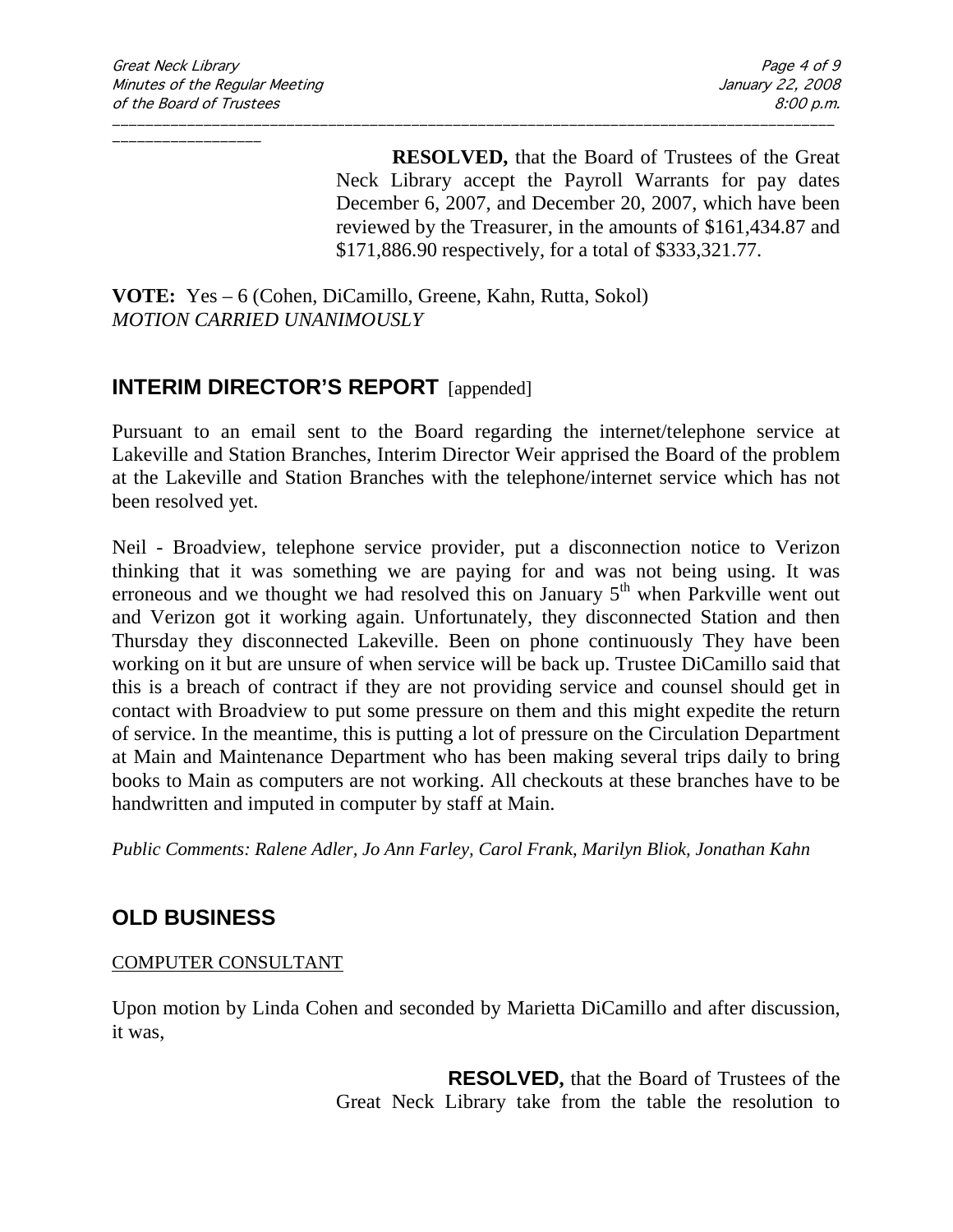**RESOLVED,** that the Board of Trustees of the Great Neck Library accept the Payroll Warrants for pay dates December 6, 2007, and December 20, 2007, which have been reviewed by the Treasurer, in the amounts of \$161,434.87 and \$171,886.90 respectively, for a total of \$333,321.77.

**VOTE:** Yes – 6 (Cohen, DiCamillo, Greene, Kahn, Rutta, Sokol) *MOTION CARRIED UNANIMOUSLY*

## **INTERIM DIRECTOR'S REPORT** [appended]

Pursuant to an email sent to the Board regarding the internet/telephone service at Lakeville and Station Branches, Interim Director Weir apprised the Board of the problem at the Lakeville and Station Branches with the telephone/internet service which has not been resolved yet.

\_\_\_\_\_\_\_\_\_\_\_\_\_\_\_\_\_\_\_\_\_\_\_\_\_\_\_\_\_\_\_\_\_\_\_\_\_\_\_\_\_\_\_\_\_\_\_\_\_\_\_\_\_\_\_\_\_\_\_\_\_\_\_\_\_\_\_\_\_\_\_\_\_\_\_\_\_\_\_\_\_\_\_\_\_\_\_

Neil - Broadview, telephone service provider, put a disconnection notice to Verizon thinking that it was something we are paying for and was not being using. It was erroneous and we thought we had resolved this on January  $5<sup>th</sup>$  when Parkville went out and Verizon got it working again. Unfortunately, they disconnected Station and then Thursday they disconnected Lakeville. Been on phone continuously They have been working on it but are unsure of when service will be back up. Trustee DiCamillo said that this is a breach of contract if they are not providing service and counsel should get in contact with Broadview to put some pressure on them and this might expedite the return of service. In the meantime, this is putting a lot of pressure on the Circulation Department at Main and Maintenance Department who has been making several trips daily to bring books to Main as computers are not working. All checkouts at these branches have to be handwritten and imputed in computer by staff at Main.

*Public Comments: Ralene Adler, Jo Ann Farley, Carol Frank, Marilyn Bliok, Jonathan Kahn*

# **OLD BUSINESS**

### COMPUTER CONSULTANT

Upon motion by Linda Cohen and seconded by Marietta DiCamillo and after discussion, it was,

> **RESOLVED,** that the Board of Trustees of the Great Neck Library take from the table the resolution to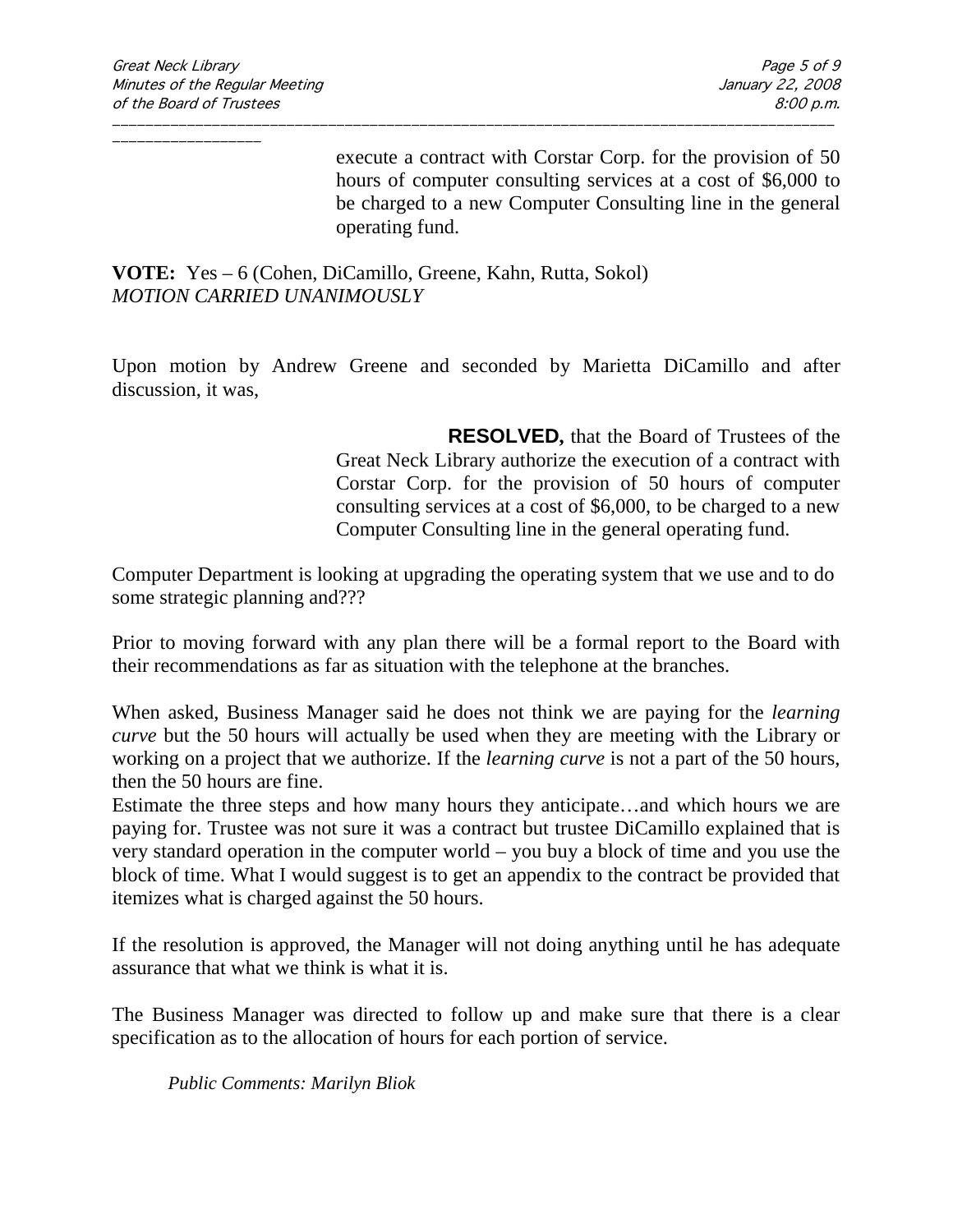execute a contract with Corstar Corp. for the provision of 50 hours of computer consulting services at a cost of \$6,000 to be charged to a new Computer Consulting line in the general operating fund.

**VOTE:** Yes – 6 (Cohen, DiCamillo, Greene, Kahn, Rutta, Sokol) *MOTION CARRIED UNANIMOUSLY*

Upon motion by Andrew Greene and seconded by Marietta DiCamillo and after discussion, it was,

\_\_\_\_\_\_\_\_\_\_\_\_\_\_\_\_\_\_\_\_\_\_\_\_\_\_\_\_\_\_\_\_\_\_\_\_\_\_\_\_\_\_\_\_\_\_\_\_\_\_\_\_\_\_\_\_\_\_\_\_\_\_\_\_\_\_\_\_\_\_\_\_\_\_\_\_\_\_\_\_\_\_\_\_\_\_\_

**RESOLVED,** that the Board of Trustees of the Great Neck Library authorize the execution of a contract with Corstar Corp. for the provision of 50 hours of computer consulting services at a cost of \$6,000, to be charged to a new Computer Consulting line in the general operating fund.

Computer Department is looking at upgrading the operating system that we use and to do some strategic planning and???

Prior to moving forward with any plan there will be a formal report to the Board with their recommendations as far as situation with the telephone at the branches.

When asked, Business Manager said he does not think we are paying for the *learning curve* but the 50 hours will actually be used when they are meeting with the Library or working on a project that we authorize. If the *learning curve* is not a part of the 50 hours, then the 50 hours are fine.

Estimate the three steps and how many hours they anticipate…and which hours we are paying for. Trustee was not sure it was a contract but trustee DiCamillo explained that is very standard operation in the computer world – you buy a block of time and you use the block of time. What I would suggest is to get an appendix to the contract be provided that itemizes what is charged against the 50 hours.

If the resolution is approved, the Manager will not doing anything until he has adequate assurance that what we think is what it is.

The Business Manager was directed to follow up and make sure that there is a clear specification as to the allocation of hours for each portion of service.

*Public Comments: Marilyn Bliok*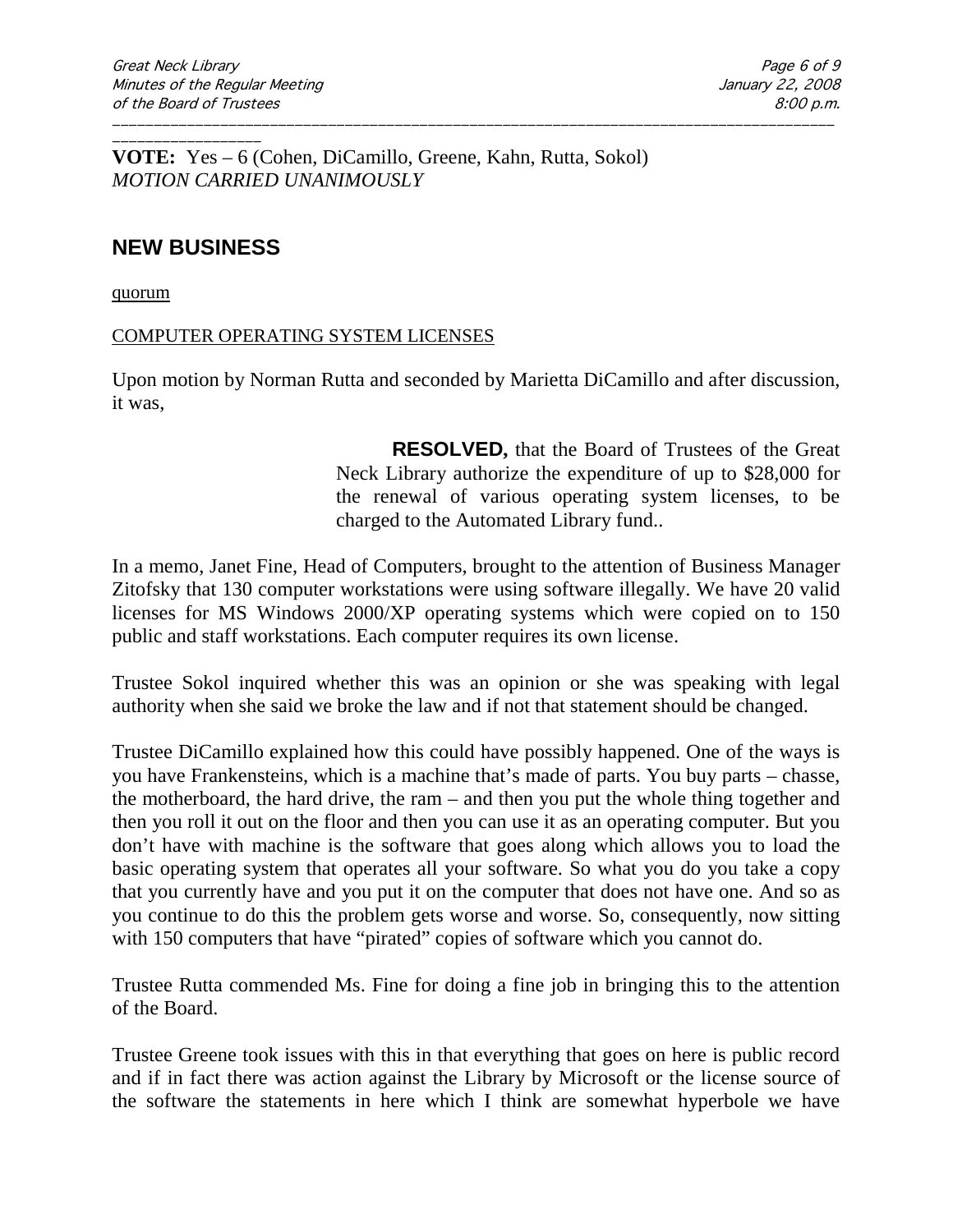**VOTE:** Yes – 6 (Cohen, DiCamillo, Greene, Kahn, Rutta, Sokol) *MOTION CARRIED UNANIMOUSLY*

### **NEW BUSINESS**

\_\_\_\_\_\_\_\_\_\_\_\_\_\_\_\_\_\_

quorum

#### COMPUTER OPERATING SYSTEM LICENSES

Upon motion by Norman Rutta and seconded by Marietta DiCamillo and after discussion, it was,

\_\_\_\_\_\_\_\_\_\_\_\_\_\_\_\_\_\_\_\_\_\_\_\_\_\_\_\_\_\_\_\_\_\_\_\_\_\_\_\_\_\_\_\_\_\_\_\_\_\_\_\_\_\_\_\_\_\_\_\_\_\_\_\_\_\_\_\_\_\_\_\_\_\_\_\_\_\_\_\_\_\_\_\_\_\_\_

**RESOLVED,** that the Board of Trustees of the Great Neck Library authorize the expenditure of up to \$28,000 for the renewal of various operating system licenses, to be charged to the Automated Library fund..

In a memo, Janet Fine, Head of Computers, brought to the attention of Business Manager Zitofsky that 130 computer workstations were using software illegally. We have 20 valid licenses for MS Windows 2000/XP operating systems which were copied on to 150 public and staff workstations. Each computer requires its own license.

Trustee Sokol inquired whether this was an opinion or she was speaking with legal authority when she said we broke the law and if not that statement should be changed.

Trustee DiCamillo explained how this could have possibly happened. One of the ways is you have Frankensteins, which is a machine that's made of parts. You buy parts – chasse, the motherboard, the hard drive, the ram – and then you put the whole thing together and then you roll it out on the floor and then you can use it as an operating computer. But you don't have with machine is the software that goes along which allows you to load the basic operating system that operates all your software. So what you do you take a copy that you currently have and you put it on the computer that does not have one. And so as you continue to do this the problem gets worse and worse. So, consequently, now sitting with 150 computers that have "pirated" copies of software which you cannot do.

Trustee Rutta commended Ms. Fine for doing a fine job in bringing this to the attention of the Board.

Trustee Greene took issues with this in that everything that goes on here is public record and if in fact there was action against the Library by Microsoft or the license source of the software the statements in here which I think are somewhat hyperbole we have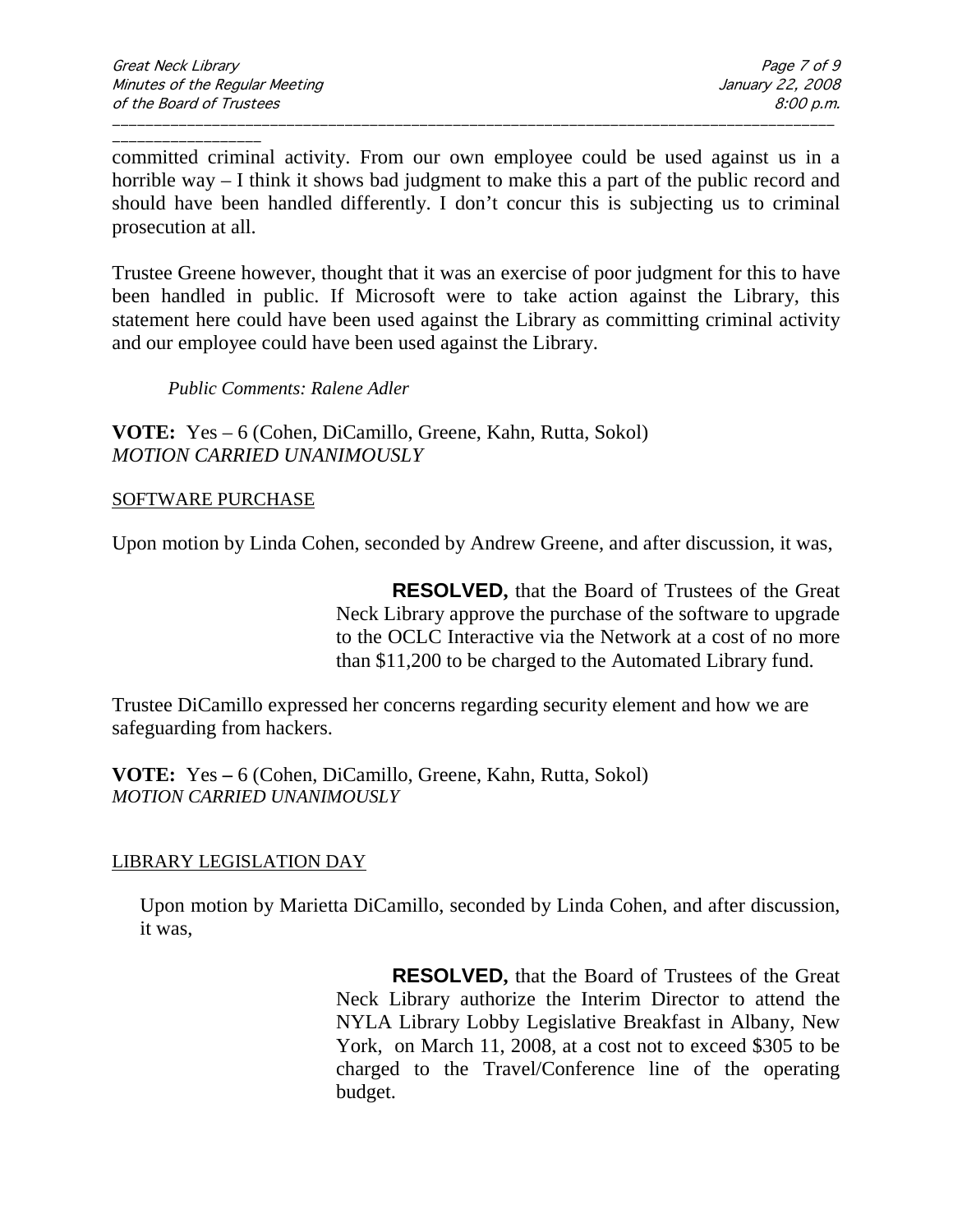committed criminal activity. From our own employee could be used against us in a horrible way – I think it shows bad judgment to make this a part of the public record and should have been handled differently. I don't concur this is subjecting us to criminal prosecution at all.

\_\_\_\_\_\_\_\_\_\_\_\_\_\_\_\_\_\_\_\_\_\_\_\_\_\_\_\_\_\_\_\_\_\_\_\_\_\_\_\_\_\_\_\_\_\_\_\_\_\_\_\_\_\_\_\_\_\_\_\_\_\_\_\_\_\_\_\_\_\_\_\_\_\_\_\_\_\_\_\_\_\_\_\_\_\_\_

Trustee Greene however, thought that it was an exercise of poor judgment for this to have been handled in public. If Microsoft were to take action against the Library, this statement here could have been used against the Library as committing criminal activity and our employee could have been used against the Library.

*Public Comments: Ralene Adler*

**VOTE:** Yes – 6 (Cohen, DiCamillo, Greene, Kahn, Rutta, Sokol) *MOTION CARRIED UNANIMOUSLY*

#### SOFTWARE PURCHASE

Upon motion by Linda Cohen, seconded by Andrew Greene, and after discussion, it was,

**RESOLVED,** that the Board of Trustees of the Great Neck Library approve the purchase of the software to upgrade to the OCLC Interactive via the Network at a cost of no more than \$11,200 to be charged to the Automated Library fund.

Trustee DiCamillo expressed her concerns regarding security element and how we are safeguarding from hackers.

**VOTE:** Yes **–** 6 (Cohen, DiCamillo, Greene, Kahn, Rutta, Sokol) *MOTION CARRIED UNANIMOUSLY*

#### LIBRARY LEGISLATION DAY

Upon motion by Marietta DiCamillo, seconded by Linda Cohen, and after discussion, it was,

> **RESOLVED,** that the Board of Trustees of the Great Neck Library authorize the Interim Director to attend the NYLA Library Lobby Legislative Breakfast in Albany, New York, on March 11, 2008, at a cost not to exceed \$305 to be charged to the Travel/Conference line of the operating budget.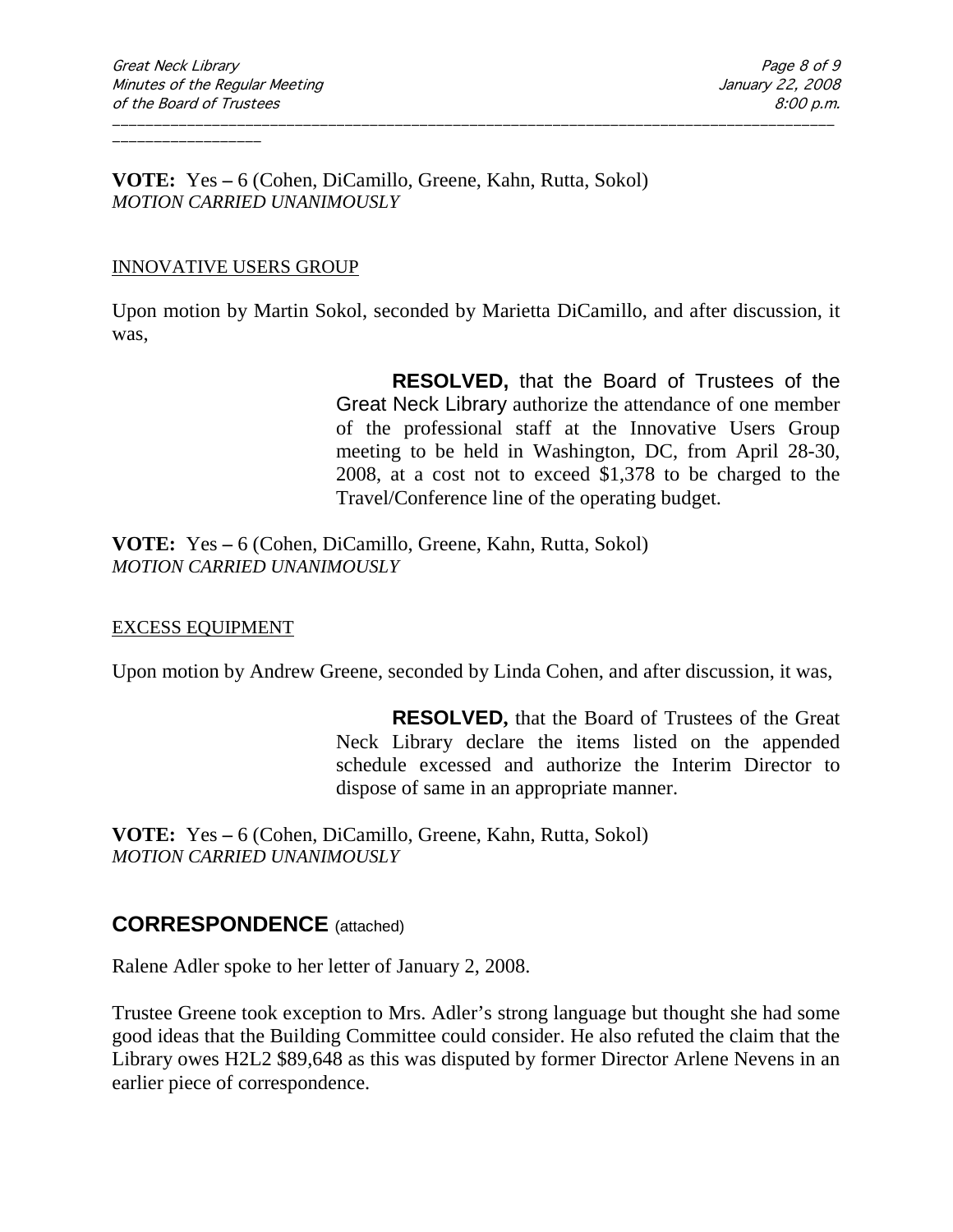**VOTE:** Yes **–** 6 (Cohen, DiCamillo, Greene, Kahn, Rutta, Sokol) *MOTION CARRIED UNANIMOUSLY*

#### INNOVATIVE USERS GROUP

Upon motion by Martin Sokol, seconded by Marietta DiCamillo, and after discussion, it was,

\_\_\_\_\_\_\_\_\_\_\_\_\_\_\_\_\_\_\_\_\_\_\_\_\_\_\_\_\_\_\_\_\_\_\_\_\_\_\_\_\_\_\_\_\_\_\_\_\_\_\_\_\_\_\_\_\_\_\_\_\_\_\_\_\_\_\_\_\_\_\_\_\_\_\_\_\_\_\_\_\_\_\_\_\_\_\_

**RESOLVED,** that the Board of Trustees of the Great Neck Library authorize the attendance of one member of the professional staff at the Innovative Users Group meeting to be held in Washington, DC, from April 28-30, 2008, at a cost not to exceed \$1,378 to be charged to the Travel/Conference line of the operating budget.

**VOTE:** Yes **–** 6 (Cohen, DiCamillo, Greene, Kahn, Rutta, Sokol) *MOTION CARRIED UNANIMOUSLY*

#### EXCESS EQUIPMENT

Upon motion by Andrew Greene, seconded by Linda Cohen, and after discussion, it was,

**RESOLVED,** that the Board of Trustees of the Great Neck Library declare the items listed on the appended schedule excessed and authorize the Interim Director to dispose of same in an appropriate manner.

**VOTE:** Yes **–** 6 (Cohen, DiCamillo, Greene, Kahn, Rutta, Sokol) *MOTION CARRIED UNANIMOUSLY*

### **CORRESPONDENCE** (attached)

Ralene Adler spoke to her letter of January 2, 2008.

Trustee Greene took exception to Mrs. Adler's strong language but thought she had some good ideas that the Building Committee could consider. He also refuted the claim that the Library owes H2L2 \$89,648 as this was disputed by former Director Arlene Nevens in an earlier piece of correspondence.